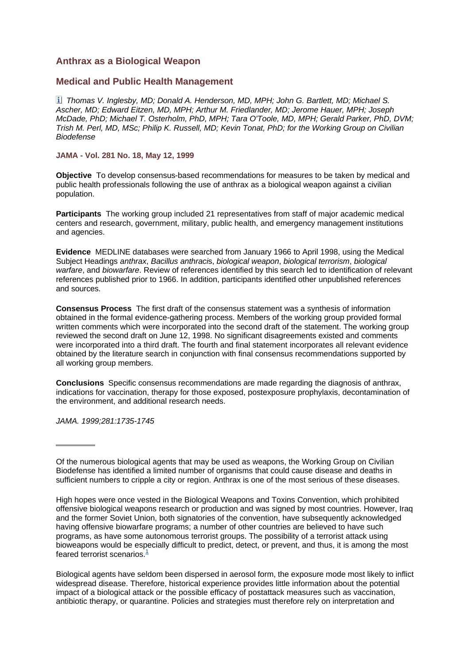# **Anthrax as a Biological Weapon**

# **Medical and Public Health Management**

 *Thomas V. Inglesby, MD; Donald A. Henderson, MD, MPH; John G. Bartlett, MD; Michael S. Ascher, MD; Edward Eitzen, MD, MPH; Arthur M. Friedlander, MD; Jerome Hauer, MPH; Joseph McDade, PhD; Michael T. Osterholm, PhD, MPH; Tara O'Toole, MD, MPH; Gerald Parker, PhD, DVM; Trish M. Perl, MD, MSc; Philip K. Russell, MD; Kevin Tonat, PhD; for the Working Group on Civilian Biodefense*

#### **JAMA - Vol. 281 No. 18, May 12, 1999**

**Objective** To develop consensus-based recommendations for measures to be taken by medical and public health professionals following the use of anthrax as a biological weapon against a civilian population.

**Participants** The working group included 21 representatives from staff of major academic medical centers and research, government, military, public health, and emergency management institutions and agencies.

**Evidence** MEDLINE databases were searched from January 1966 to April 1998, using the Medical Subject Headings *anthrax*, *Bacillus anthraci*s, *biological weapon*, *biological terrorism*, *biological warfare*, and *biowarfare*. Review of references identified by this search led to identification of relevant references published prior to 1966. In addition, participants identified other unpublished references and sources.

**Consensus Process** The first draft of the consensus statement was a synthesis of information obtained in the formal evidence-gathering process. Members of the working group provided formal written comments which were incorporated into the second draft of the statement. The working group reviewed the second draft on June 12, 1998. No significant disagreements existed and comments were incorporated into a third draft. The fourth and final statement incorporates all relevant evidence obtained by the literature search in conjunction with final consensus recommendations supported by all working group members.

**Conclusions** Specific consensus recommendations are made regarding the diagnosis of anthrax, indications for vaccination, therapy for those exposed, postexposure prophylaxis, decontamination of the environment, and additional research needs.

*JAMA. 1999;281:1735-1745*

Of the numerous biological agents that may be used as weapons, the Working Group on Civilian Biodefense has identified a limited number of organisms that could cause disease and deaths in sufficient numbers to cripple a city or region. Anthrax is one of the most serious of these diseases.

High hopes were once vested in the Biological Weapons and Toxins Convention, which prohibited offensive biological weapons research or production and was signed by most countries. However, Iraq and the former Soviet Union, both signatories of the convention, have subsequently acknowledged having offensive biowarfare programs; a number of other countries are believed to have such programs, as have some autonomous terrorist groups. The possibility of a terrorist attack using bioweapons would be especially difficult to predict, detect, or prevent, and thus, it is among the most feared terrorist scenarios. $<sup>1</sup>$ </sup>

Biological agents have seldom been dispersed in aerosol form, the exposure mode most likely to inflict widespread disease. Therefore, historical experience provides little information about the potential impact of a biological attack or the possible efficacy of postattack measures such as vaccination, antibiotic therapy, or quarantine. Policies and strategies must therefore rely on interpretation and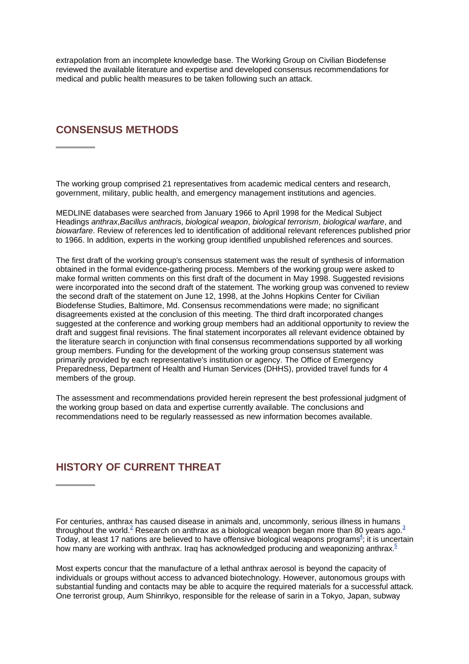extrapolation from an incomplete knowledge base. The Working Group on Civilian Biodefense reviewed the available literature and expertise and developed consensus recommendations for medical and public health measures to be taken following such an attack.

# **CONSENSUS METHODS**

The working group comprised 21 representatives from academic medical centers and research, government, military, public health, and emergency management institutions and agencies.

MEDLINE databases were searched from January 1966 to April 1998 for the Medical Subject Headings *anthrax*,*Bacillus anthraci*s, *biological weapon*, *biological terrorism*, *biological warfare*, and *biowarfare*. Review of references led to identification of additional relevant references published prior to 1966. In addition, experts in the working group identified unpublished references and sources.

The first draft of the working group's consensus statement was the result of synthesis of information obtained in the formal evidence-gathering process. Members of the working group were asked to make formal written comments on this first draft of the document in May 1998. Suggested revisions were incorporated into the second draft of the statement. The working group was convened to review the second draft of the statement on June 12, 1998, at the Johns Hopkins Center for Civilian Biodefense Studies, Baltimore, Md. Consensus recommendations were made; no significant disagreements existed at the conclusion of this meeting. The third draft incorporated changes suggested at the conference and working group members had an additional opportunity to review the draft and suggest final revisions. The final statement incorporates all relevant evidence obtained by the literature search in conjunction with final consensus recommendations supported by all working group members. Funding for the development of the working group consensus statement was primarily provided by each representative's institution or agency. The Office of Emergency Preparedness, Department of Health and Human Services (DHHS), provided travel funds for 4 members of the group.

The assessment and recommendations provided herein represent the best professional judgment of the working group based on data and expertise currently available. The conclusions and recommendations need to be regularly reassessed as new information becomes available.

# **HISTORY OF CURRENT THREAT**

For centuries, anthrax has caused disease in animals and, uncommonly, serious illness in humans throughout the world.<sup>2</sup> Research on anthrax as a biological weapon began more than 80 years ago.<sup>3</sup> Today, at least 17 nations are believed to have offensive biological weapons programs $4$ ; it is uncertain how many are working with anthrax. Irag has acknowledged producing and weaponizing anthrax.<sup>5</sup>

Most experts concur that the manufacture of a lethal anthrax aerosol is beyond the capacity of individuals or groups without access to advanced biotechnology. However, autonomous groups with substantial funding and contacts may be able to acquire the required materials for a successful attack. One terrorist group, Aum Shinrikyo, responsible for the release of sarin in a Tokyo, Japan, subway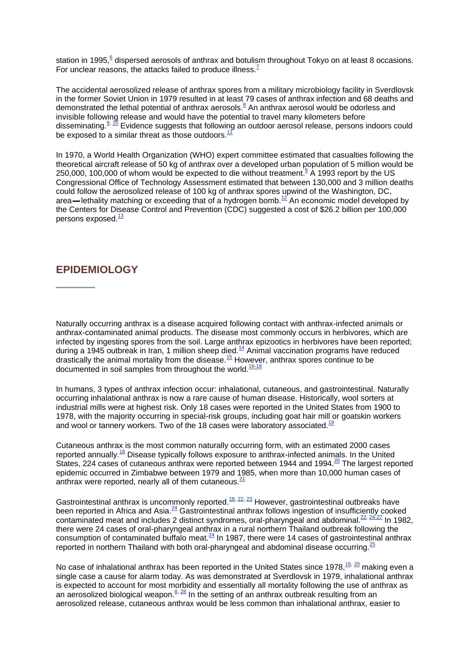station in 1995, $^6$  dispersed aerosols of anthrax and botulism throughout Tokyo on at least 8 occasions. For unclear reasons, the attacks failed to produce illness.<sup>7</sup>

The accidental aerosolized release of anthrax spores from a military microbiology facility in Sverdlovsk in the former Soviet Union in 1979 resulted in at least 79 cases of anthrax infection and 68 deaths and demonstrated the lethal potential of anthrax aerosols.<sup>8</sup> An anthrax aerosol would be odorless and invisible following release and would have the potential to travel many kilometers before disseminating. <sup>9, 10</sup> Evidence suggests that following an outdoor aerosol release, persons indoors could be exposed to a similar threat as those outdoors.  $\frac{11}{11}$ 

In 1970, a World Health Organization (WHO) expert committee estimated that casualties following the theoretical aircraft release of 50 kg of anthrax over a developed urban population of 5 million would be 250,000, 100,000 of whom would be expected to die without treatment.  $9^{\circ}$  A 1993 report by the US Congressional Office of Technology Assessment estimated that between 130,000 and 3 million deaths could follow the aerosolized release of 100 kg of anthrax spores upwind of the Washington, DC, area—lethality matching or exceeding that of a hydrogen bomb.<sup>12</sup> An economic model developed by the Centers for Disease Control and Prevention (CDC) suggested a cost of \$26.2 billion per 100,000 persons exposed.<sup>13</sup>

# **EPIDEMIOLOGY**

Naturally occurring anthrax is a disease acquired following contact with anthrax-infected animals or anthrax-contaminated animal products. The disease most commonly occurs in herbivores, which are infected by ingesting spores from the soil. Large anthrax epizootics in herbivores have been reported; during a 1945 outbreak in Iran, 1 million sheep died.<sup>14</sup> Animal vaccination programs have reduced drastically the animal mortality from the disease.<sup>15</sup> However, anthrax spores continue to be documented in soil samples from throughout the world.<sup>16-18</sup>

In humans, 3 types of anthrax infection occur: inhalational, cutaneous, and gastrointestinal. Naturally occurring inhalational anthrax is now a rare cause of human disease. Historically, wool sorters at industrial mills were at highest risk. Only 18 cases were reported in the United States from 1900 to 1978, with the majority occurring in special-risk groups, including goat hair mill or goatskin workers and wool or tannery workers. Two of the 18 cases were laboratory associated.<sup>19</sup>

Cutaneous anthrax is the most common naturally occurring form, with an estimated 2000 cases reported annually.<sup>18</sup> Disease typically follows exposure to anthrax-infected animals. In the United States, 224 cases of cutaneous anthrax were reported between 1944 and 1994.<sup>20</sup> The largest reported epidemic occurred in Zimbabwe between 1979 and 1985, when more than 10,000 human cases of anthrax were reported, nearly all of them cutaneous. $21$ 

Gastrointestinal anthrax is uncommonly reported.<sup>18, 22, 23</sup> However, gastrointestinal outbreaks have been reported in Africa and Asia.<sup>24</sup> Gastrointestinal anthrax follows ingestion of insufficiently cooked contaminated meat and includes 2 distinct syndromes, oral-pharyngeal and abdominal.<sup>22, 24-27</sup> In 1982, there were 24 cases of oral-pharyngeal anthrax in a rural northern Thailand outbreak following the consumption of contaminated buffalo meat. $^{24}$  In 1987, there were 14 cases of gastrointestinal anthrax reported in northern Thailand with both oral-pharyngeal and abdominal disease occurring.<sup>25</sup>

No case of inhalational anthrax has been reported in the United States since 1978,  $\frac{19}{20}$  making even a single case a cause for alarm today. As was demonstrated at Sverdlovsk in 1979, inhalational anthrax is expected to account for most morbidity and essentially all mortality following the use of anthrax as an aerosolized biological weapon.<sup>8, 28</sup> In the setting of an anthrax outbreak resulting from an aerosolized release, cutaneous anthrax would be less common than inhalational anthrax, easier to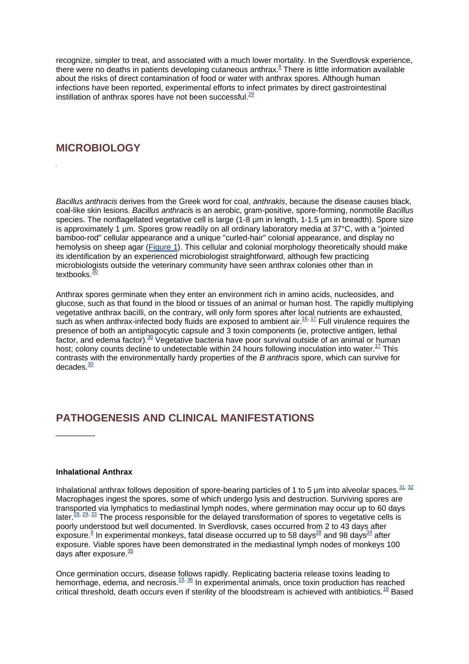recognize, simpler to treat, and associated with a much lower mortality. In the Sverdlovsk experience, there were no deaths in patients developing cutaneous anthrax.<sup>8</sup> There is little information available about the risks of direct contamination of food or water with anthrax spores. Although human infections have been reported, experimental efforts to infect primates by direct gastrointestinal instillation of anthrax spores have not been successful. $\frac{29}{2}$ 

# **MICROBIOLOGY**

*Bacillus anthracis* derives from the Greek word for coal, *anthrakis*, because the disease causes black, coal-like skin lesions. *Bacillus anthraci*s is an aerobic, gram-positive, spore-forming, nonmotile *Bacillus* species. The nonflagellated vegetative cell is large (1-8 µm in length, 1-1.5 µm in breadth). Spore size is approximately 1 µm. Spores grow readily on all ordinary laboratory media at 37°C, with a "jointed bamboo-rod" cellular appearance and a unique "curled-hair" colonial appearance, and display no hemolysis on sheep agar (Figure 1). This cellular and colonial morphology theoretically should make its identification by an experienced microbiologist straightforward, although few practicing microbiologists outside the veterinary community have seen anthrax colonies other than in textbooks  $\frac{30}{2}$ 

Anthrax spores germinate when they enter an environment rich in amino acids, nucleosides, and glucose, such as that found in the blood or tissues of an animal or human host. The rapidly multiplying vegetative anthrax bacilli, on the contrary, will only form spores after local nutrients are exhausted, such as when anthrax-infected body fluids are exposed to ambient air.<sup>16, 17</sup> Full virulence requires the presence of both an antiphagocytic capsule and 3 toxin components (ie, protective antigen, lethal factor, and edema factor).  $30$  Vegetative bacteria have poor survival outside of an animal or human host; colony counts decline to undetectable within 24 hours following inoculation into water.<sup>17</sup> This contrasts with the environmentally hardy properties of the *B anthracis* spore, which can survive for decades.<sup>30</sup>

# **PATHOGENESIS AND CLINICAL MANIFESTATIONS**

#### **Inhalational Anthrax**

Inhalational anthrax follows deposition of spore-bearing particles of 1 to 5 um into alveolar spaces.  $\frac{31}{22}$ Macrophages ingest the spores, some of which undergo lysis and destruction. Surviving spores are transported via lymphatics to mediastinal lymph nodes, where germination may occur up to 60 days later.  $^{28, 29, 33}$  The process responsible for the delayed transformation of spores to vegetative cells is poorly understood but well documented. In Sverdlovsk, cases occurred from 2 to 43 days after exposure.<sup>8</sup> In experimental monkeys, fatal disease occurred up to 58 days<sup>28</sup> and 98 days<sup>34</sup> after exposure. Viable spores have been demonstrated in the mediastinal lymph nodes of monkeys 100 days after exposure. $\frac{35}{2}$ 

Once germination occurs, disease follows rapidly. Replicating bacteria release toxins leading to hemorrhage, edema, and necrosis. $23, 36$  In experimental animals, once toxin production has reached critical threshold, death occurs even if sterility of the bloodstream is achieved with antibiotics.<sup>19</sup> Based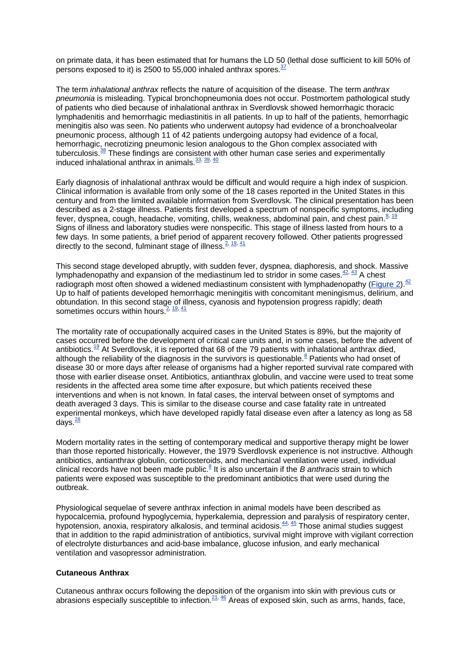on primate data, it has been estimated that for humans the LD 50 (lethal dose sufficient to kill 50% of persons exposed to it) is 2500 to 55,000 inhaled anthrax spores.  $37$ 

The term *inhalational anthrax* reflects the nature of acquisition of the disease. The term *anthrax pneumonia* is misleading. Typical bronchopneumonia does not occur. Postmortem pathological study of patients who died because of inhalational anthrax in Sverdlovsk showed hemorrhagic thoracic lymphadenitis and hemorrhagic mediastinitis in all patients. In up to half of the patients, hemorrhagic meningitis also was seen. No patients who underwent autopsy had evidence of a bronchoalveolar pneumonic process, although 11 of 42 patients undergoing autopsy had evidence of a focal, hemorrhagic, necrotizing pneumonic lesion analogous to the Ghon complex associated with tuberculosis. $38$  These findings are consistent with other human case series and experimentally induced inhalational anthrax in animals.  $\frac{33}{39}$ ,  $\frac{40}{39}$ 

Early diagnosis of inhalational anthrax would be difficult and would require a high index of suspicion. Clinical information is available from only some of the 18 cases reported in the United States in this century and from the limited available information from Sverdlovsk. The clinical presentation has been described as a 2-stage illness. Patients first developed a spectrum of nonspecific symptoms, including fever, dyspnea, cough, headache, vomiting, chills, weakness, abdominal pain, and chest pain. $8, 19$ Signs of illness and laboratory studies were nonspecific. This stage of illness lasted from hours to a few days. In some patients, a brief period of apparent recovery followed. Other patients progressed directly to the second, fulminant stage of illness.<sup>2, 19, 41</sup>

This second stage developed abruptly, with sudden fever, dyspnea, diaphoresis, and shock. Massive lymphadenopathy and expansion of the mediastinum led to stridor in some cases. $^{42,43}$  A chest radiograph most often showed a widened mediastinum consistent with lymphadenopathy (Figure 2).  $42$ Up to half of patients developed hemorrhagic meningitis with concomitant meningismus, delirium, and obtundation. In this second stage of illness, cyanosis and hypotension progress rapidly; death sometimes occurs within hours.<sup>2, 19, 41</sup>

The mortality rate of occupationally acquired cases in the United States is 89%, but the majority of cases occurred before the development of critical care units and, in some cases, before the advent of antibiotics.<sup>19</sup> At Sverdlovsk, it is reported that 68 of the 79 patients with inhalational anthrax died, although the reliability of the diagnosis in the survivors is questionable.<sup>8</sup> Patients who had onset of disease 30 or more days after release of organisms had a higher reported survival rate compared with those with earlier disease onset. Antibiotics, antianthrax globulin, and vaccine were used to treat some residents in the affected area some time after exposure, but which patients received these interventions and when is not known. In fatal cases, the interval between onset of symptoms and death averaged 3 days. This is similar to the disease course and case fatality rate in untreated experimental monkeys, which have developed rapidly fatal disease even after a latency as long as 58 days. $\frac{28}{3}$ 

Modern mortality rates in the setting of contemporary medical and supportive therapy might be lower than those reported historically. However, the 1979 Sverdlovsk experience is not instructive. Although antibiotics, antianthrax globulin, corticosteroids, and mechanical ventilation were used, individual clinical records have not been made public.<sup>8</sup> It is also uncertain if the *B anthracis* strain to which patients were exposed was susceptible to the predominant antibiotics that were used during the outbreak.

Physiological sequelae of severe anthrax infection in animal models have been described as hypocalcemia, profound hypoglycemia, hyperkalemia, depression and paralysis of respiratory center, hypotension, anoxia, respiratory alkalosis, and terminal acidosis.<sup>44, 45</sup> Those animal studies suggest that in addition to the rapid administration of antibiotics, survival might improve with vigilant correction of electrolyte disturbances and acid-base imbalance, glucose infusion, and early mechanical ventilation and vasopressor administration.

# **Cutaneous Anthrax**

Cutaneous anthrax occurs following the deposition of the organism into skin with previous cuts or abrasions especially susceptible to infection.  $21.46$  Areas of exposed skin, such as arms, hands, face,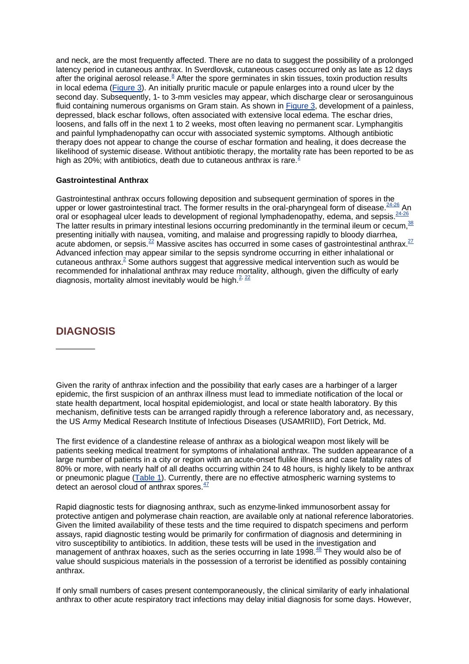and neck, are the most frequently affected. There are no data to suggest the possibility of a prolonged latency period in cutaneous anthrax. In Sverdlovsk, cutaneous cases occurred only as late as 12 days after the original aerosol release.<sup>8</sup> After the spore germinates in skin tissues, toxin production results in local edema (Figure 3). An initially pruritic macule or papule enlarges into a round ulcer by the second day. Subsequently, 1- to 3-mm vesicles may appear, which discharge clear or serosanguinous fluid containing numerous organisms on Gram stain. As shown in Figure 3, development of a painless, depressed, black eschar follows, often associated with extensive local edema. The eschar dries, loosens, and falls off in the next 1 to 2 weeks, most often leaving no permanent scar. Lymphangitis and painful lymphadenopathy can occur with associated systemic symptoms. Although antibiotic therapy does not appear to change the course of eschar formation and healing, it does decrease the likelihood of systemic disease. Without antibiotic therapy, the mortality rate has been reported to be as high as 20%; with antibiotics, death due to cutaneous anthrax is rare.<sup>2</sup>

### **Gastrointestinal Anthrax**

Gastrointestinal anthrax occurs following deposition and subsequent germination of spores in the upper or lower gastrointestinal tract. The former results in the oral-pharyngeal form of disease.<sup>24-26</sup> An oral or esophageal ulcer leads to development of regional lymphadenopathy, edema, and sepsis.  $24-26$ The latter results in primary intestinal lesions occurring predominantly in the terminal ileum or cecum.<sup>38</sup> presenting initially with nausea, vomiting, and malaise and progressing rapidly to bloody diarrhea, acute abdomen, or sepsis.<sup>22</sup> Massive ascites has occurred in some cases of gastrointestinal anthrax.<sup>27</sup> Advanced infection may appear similar to the sepsis syndrome occurring in either inhalational or cutaneous anthrax. $2$  Some authors suggest that aggressive medical intervention such as would be recommended for inhalational anthrax may reduce mortality, although, given the difficulty of early diagnosis, mortality almost inevitably would be high. $2, 22$ 

# **DIAGNOSIS**

Given the rarity of anthrax infection and the possibility that early cases are a harbinger of a larger epidemic, the first suspicion of an anthrax illness must lead to immediate notification of the local or state health department, local hospital epidemiologist, and local or state health laboratory. By this mechanism, definitive tests can be arranged rapidly through a reference laboratory and, as necessary, the US Army Medical Research Institute of Infectious Diseases (USAMRIID), Fort Detrick, Md.

The first evidence of a clandestine release of anthrax as a biological weapon most likely will be patients seeking medical treatment for symptoms of inhalational anthrax. The sudden appearance of a large number of patients in a city or region with an acute-onset flulike illness and case fatality rates of 80% or more, with nearly half of all deaths occurring within 24 to 48 hours, is highly likely to be anthrax or pneumonic plague (Table 1). Currently, there are no effective atmospheric warning systems to detect an aerosol cloud of anthrax spores. $\frac{47}{1}$ 

Rapid diagnostic tests for diagnosing anthrax, such as enzyme-linked immunosorbent assay for protective antigen and polymerase chain reaction, are available only at national reference laboratories. Given the limited availability of these tests and the time required to dispatch specimens and perform assays, rapid diagnostic testing would be primarily for confirmation of diagnosis and determining in vitro susceptibility to antibiotics. In addition, these tests will be used in the investigation and management of anthrax hoaxes, such as the series occurring in late 1998. $48$  They would also be of value should suspicious materials in the possession of a terrorist be identified as possibly containing anthrax.

If only small numbers of cases present contemporaneously, the clinical similarity of early inhalational anthrax to other acute respiratory tract infections may delay initial diagnosis for some days. However,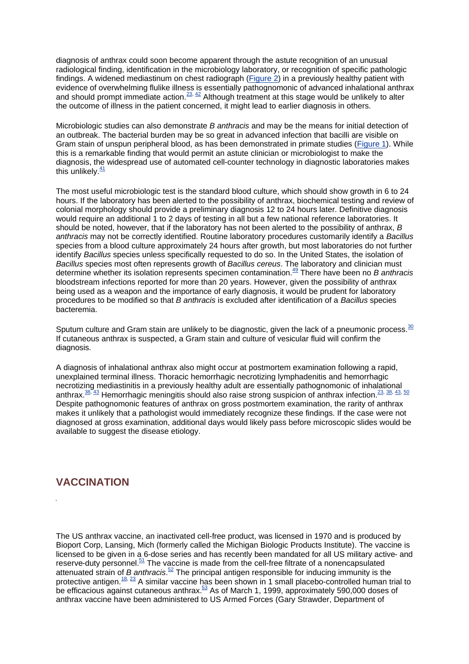diagnosis of anthrax could soon become apparent through the astute recognition of an unusual radiological finding, identification in the microbiology laboratory, or recognition of specific pathologic findings. A widened mediastinum on chest radiograph (Figure 2) in a previously healthy patient with evidence of overwhelming flulike illness is essentially pathognomonic of advanced inhalational anthrax and should prompt immediate action. $23, 42$  Although treatment at this stage would be unlikely to alter the outcome of illness in the patient concerned, it might lead to earlier diagnosis in others.

Microbiologic studies can also demonstrate *B anthracis* and may be the means for initial detection of an outbreak. The bacterial burden may be so great in advanced infection that bacilli are visible on Gram stain of unspun peripheral blood, as has been demonstrated in primate studies (Figure 1). While this is a remarkable finding that would permit an astute clinician or microbiologist to make the diagnosis, the widespread use of automated cell-counter technology in diagnostic laboratories makes this unlikely. $\frac{41}{1}$ 

The most useful microbiologic test is the standard blood culture, which should show growth in 6 to 24 hours. If the laboratory has been alerted to the possibility of anthrax, biochemical testing and review of colonial morphology should provide a preliminary diagnosis 12 to 24 hours later. Definitive diagnosis would require an additional 1 to 2 days of testing in all but a few national reference laboratories. It should be noted, however, that if the laboratory has not been alerted to the possibility of anthrax, *B anthracis* may not be correctly identified. Routine laboratory procedures customarily identify a *Bacillus* species from a blood culture approximately 24 hours after growth, but most laboratories do not further identify *Bacillus* species unless specifically requested to do so. In the United States, the isolation of *Bacillus* species most often represents growth of *Bacillus cereus*. The laboratory and clinician must determine whether its isolation represents specimen contamination.<sup>49</sup> There have been no *B anthracis* bloodstream infections reported for more than 20 years. However, given the possibility of anthrax being used as a weapon and the importance of early diagnosis, it would be prudent for laboratory procedures to be modified so that *B anthracis* is excluded after identification of a *Bacillus* species bacteremia.

Sputum culture and Gram stain are unlikely to be diagnostic, given the lack of a pneumonic process.  $\frac{30}{2}$ If cutaneous anthrax is suspected, a Gram stain and culture of vesicular fluid will confirm the diagnosis.

A diagnosis of inhalational anthrax also might occur at postmortem examination following a rapid, unexplained terminal illness. Thoracic hemorrhagic necrotizing lymphadenitis and hemorrhagic necrotizing mediastinitis in a previously healthy adult are essentially pathognomonic of inhalational anthrax.<sup>38, 43</sup> Hemorrhagic meningitis should also raise strong suspicion of anthrax infection.<sup>23, 38, 43, 50</sup> Despite pathognomonic features of anthrax on gross postmortem examination, the rarity of anthrax makes it unlikely that a pathologist would immediately recognize these findings. If the case were not diagnosed at gross examination, additional days would likely pass before microscopic slides would be available to suggest the disease etiology.

# **VACCINATION**

The US anthrax vaccine, an inactivated cell-free product, was licensed in 1970 and is produced by Bioport Corp, Lansing, Mich (formerly called the Michigan Biologic Products Institute). The vaccine is licensed to be given in a 6-dose series and has recently been mandated for all US military active- and reserve-duty personnel.<sup>51</sup> The vaccine is made from the cell-free filtrate of a nonencapsulated attenuated strain of *B anthracis*. <sup>52</sup> The principal antigen responsible for inducing immunity is the protective antigen.<sup>18, 23</sup> A similar vaccine has been shown in 1 small placebo-controlled human trial to be efficacious against cutaneous anthrax. $\frac{53}{1}$  As of March 1, 1999, approximately 590,000 doses of anthrax vaccine have been administered to US Armed Forces (Gary Strawder, Department of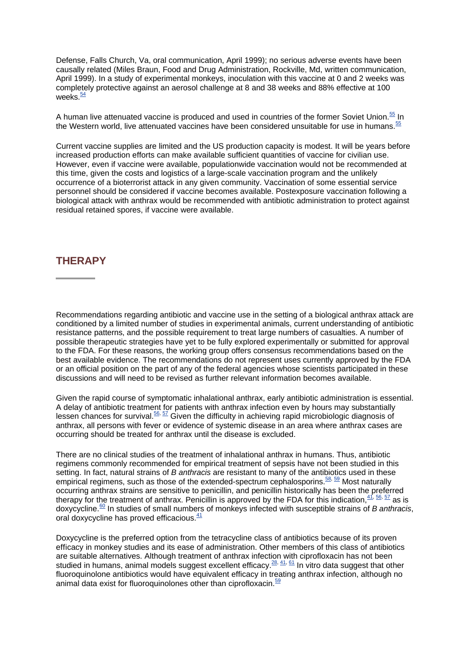Defense, Falls Church, Va, oral communication, April 1999); no serious adverse events have been causally related (Miles Braun, Food and Drug Administration, Rockville, Md, written communication, April 1999). In a study of experimental monkeys, inoculation with this vaccine at 0 and 2 weeks was completely protective against an aerosol challenge at 8 and 38 weeks and 88% effective at 100 weeks. $\frac{54}{5}$ 

A human live attenuated vaccine is produced and used in countries of the former Soviet Union.<sup>55</sup> In the Western world, live attenuated vaccines have been considered unsuitable for use in humans.  $55$ 

Current vaccine supplies are limited and the US production capacity is modest. It will be years before increased production efforts can make available sufficient quantities of vaccine for civilian use. However, even if vaccine were available, populationwide vaccination would not be recommended at this time, given the costs and logistics of a large-scale vaccination program and the unlikely occurrence of a bioterrorist attack in any given community. Vaccination of some essential service personnel should be considered if vaccine becomes available. Postexposure vaccination following a biological attack with anthrax would be recommended with antibiotic administration to protect against residual retained spores, if vaccine were available.

# **THERAPY**

Recommendations regarding antibiotic and vaccine use in the setting of a biological anthrax attack are conditioned by a limited number of studies in experimental animals, current understanding of antibiotic resistance patterns, and the possible requirement to treat large numbers of casualties. A number of possible therapeutic strategies have yet to be fully explored experimentally or submitted for approval to the FDA. For these reasons, the working group offers consensus recommendations based on the best available evidence. The recommendations do not represent uses currently approved by the FDA or an official position on the part of any of the federal agencies whose scientists participated in these discussions and will need to be revised as further relevant information becomes available.

Given the rapid course of symptomatic inhalational anthrax, early antibiotic administration is essential. A delay of antibiotic treatment for patients with anthrax infection even by hours may substantially lessen chances for survival.56, 57 Given the difficulty in achieving rapid microbiologic diagnosis of anthrax, all persons with fever or evidence of systemic disease in an area where anthrax cases are occurring should be treated for anthrax until the disease is excluded.

There are no clinical studies of the treatment of inhalational anthrax in humans. Thus, antibiotic regimens commonly recommended for empirical treatment of sepsis have not been studied in this setting. In fact, natural strains of *B anthracis* are resistant to many of the antibiotics used in these empirical regimens, such as those of the extended-spectrum cephalosporins.  $\frac{58}{2}$  Most naturally occurring anthrax strains are sensitive to penicillin, and penicillin historically has been the preferred therapy for the treatment of anthrax. Penicillin is approved by the FDA for this indication,  $\frac{41}{10}$ ,  $\frac{56}{10}$ , as is doxycycline.<sup>60</sup> In studies of small numbers of monkeys infected with susceptible strains of *B anthracis*, oral doxycycline has proved efficacious.  $\frac{41}{1}$ 

Doxycycline is the preferred option from the tetracycline class of antibiotics because of its proven efficacy in monkey studies and its ease of administration. Other members of this class of antibiotics are suitable alternatives. Although treatment of anthrax infection with ciprofloxacin has not been studied in humans, animal models suggest excellent efficacy.<sup>28, 41, 61</sup> In vitro data suggest that other fluoroquinolone antibiotics would have equivalent efficacy in treating anthrax infection, although no animal data exist for fluoroquinolones other than ciprofloxacin. $59$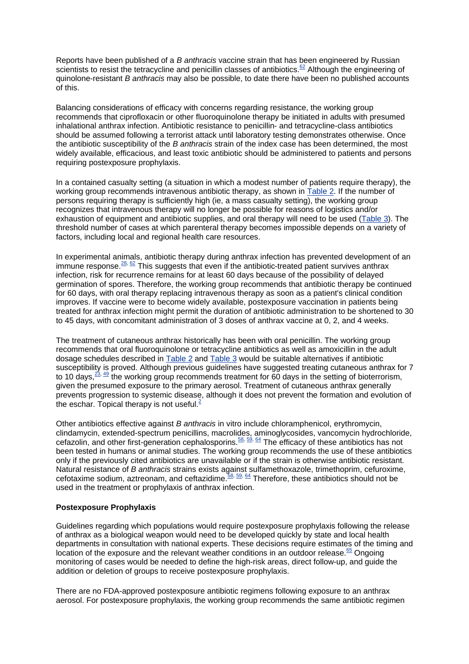Reports have been published of a *B anthracis* vaccine strain that has been engineered by Russian scientists to resist the tetracycline and penicillin classes of antibiotics. $\frac{62}{2}$  Although the engineering of quinolone-resistant *B anthracis* may also be possible, to date there have been no published accounts of this.

Balancing considerations of efficacy with concerns regarding resistance, the working group recommends that ciprofloxacin or other fluoroquinolone therapy be initiated in adults with presumed inhalational anthrax infection. Antibiotic resistance to penicillin- and tetracycline-class antibiotics should be assumed following a terrorist attack until laboratory testing demonstrates otherwise. Once the antibiotic susceptibility of the *B anthracis* strain of the index case has been determined, the most widely available, efficacious, and least toxic antibiotic should be administered to patients and persons requiring postexposure prophylaxis.

In a contained casualty setting (a situation in which a modest number of patients require therapy), the working group recommends intravenous antibiotic therapy, as shown in Table 2. If the number of persons requiring therapy is sufficiently high (ie, a mass casualty setting), the working group recognizes that intravenous therapy will no longer be possible for reasons of logistics and/or exhaustion of equipment and antibiotic supplies, and oral therapy will need to be used (Table 3). The threshold number of cases at which parenteral therapy becomes impossible depends on a variety of factors, including local and regional health care resources.

In experimental animals, antibiotic therapy during anthrax infection has prevented development of an immune response.<sup>28, 62</sup> This suggests that even if the antibiotic-treated patient survives anthrax infection, risk for recurrence remains for at least 60 days because of the possibility of delayed germination of spores. Therefore, the working group recommends that antibiotic therapy be continued for 60 days, with oral therapy replacing intravenous therapy as soon as a patient's clinical condition improves. If vaccine were to become widely available, postexposure vaccination in patients being treated for anthrax infection might permit the duration of antibiotic administration to be shortened to 30 to 45 days, with concomitant administration of 3 doses of anthrax vaccine at 0, 2, and 4 weeks.

The treatment of cutaneous anthrax historically has been with oral penicillin. The working group recommends that oral fluoroquinolone or tetracycline antibiotics as well as amoxicillin in the adult dosage schedules described in Table 2 and Table 3 would be suitable alternatives if antibiotic susceptibility is proved. Although previous guidelines have suggested treating cutaneous anthrax for 7 to 10 days,  $\frac{23}{3}$ ,  $\frac{49}{3}$  the working group recommends treatment for 60 days in the setting of bioterrorism, given the presumed exposure to the primary aerosol. Treatment of cutaneous anthrax generally prevents progression to systemic disease, although it does not prevent the formation and evolution of the eschar. Topical therapy is not useful.<sup>2</sup>

Other antibiotics effective against *B anthracis* in vitro include chloramphenicol, erythromycin, clindamycin, extended-spectrum penicillins, macrolides, aminoglycosides, vancomycin hydrochloride, cefazolin, and other first-generation cephalosporins.  $58, 59, 64$  The efficacy of these antibiotics has not been tested in humans or animal studies. The working group recommends the use of these antibiotics only if the previously cited antibiotics are unavailable or if the strain is otherwise antibiotic resistant. Natural resistance of *B anthracis* strains exists against sulfamethoxazole, trimethoprim, cefuroxime, cefotaxime sodium, aztreonam, and ceftazidime.58, 59, 64 Therefore, these antibiotics should not be used in the treatment or prophylaxis of anthrax infection.

#### **Postexposure Prophylaxis**

Guidelines regarding which populations would require postexposure prophylaxis following the release of anthrax as a biological weapon would need to be developed quickly by state and local health departments in consultation with national experts. These decisions require estimates of the timing and location of the exposure and the relevant weather conditions in an outdoor release.<sup>65</sup> Ongoing monitoring of cases would be needed to define the high-risk areas, direct follow-up, and guide the addition or deletion of groups to receive postexposure prophylaxis.

There are no FDA-approved postexposure antibiotic regimens following exposure to an anthrax aerosol. For postexposure prophylaxis, the working group recommends the same antibiotic regimen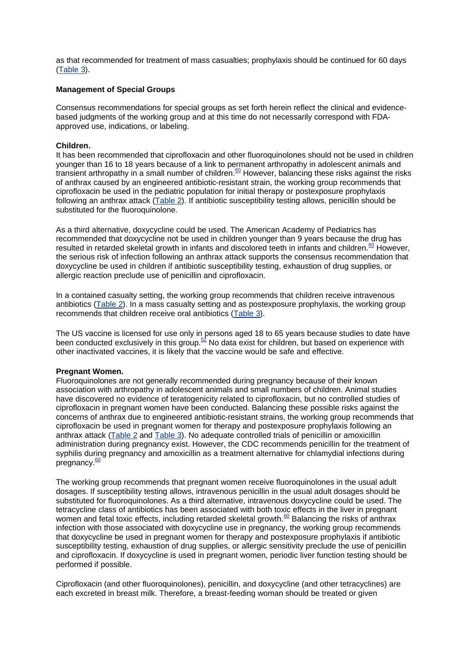as that recommended for treatment of mass casualties; prophylaxis should be continued for 60 days (Table 3).

### **Management of Special Groups**

Consensus recommendations for special groups as set forth herein reflect the clinical and evidencebased judgments of the working group and at this time do not necessarily correspond with FDAapproved use, indications, or labeling.

#### **Children.**

It has been recommended that ciprofloxacin and other fluoroquinolones should not be used in children younger than 16 to 18 years because of a link to permanent arthropathy in adolescent animals and transient arthropathy in a small number of children.<sup>60</sup> However, balancing these risks against the risks of anthrax caused by an engineered antibiotic-resistant strain, the working group recommends that ciprofloxacin be used in the pediatric population for initial therapy or postexposure prophylaxis following an anthrax attack (Table 2). If antibiotic susceptibility testing allows, penicillin should be substituted for the fluoroquinolone.

As a third alternative, doxycycline could be used. The American Academy of Pediatrics has recommended that doxycycline not be used in children younger than 9 years because the drug has resulted in retarded skeletal growth in infants and discolored teeth in infants and children.<sup>60</sup> However, the serious risk of infection following an anthrax attack supports the consensus recommendation that doxycycline be used in children if antibiotic susceptibility testing, exhaustion of drug supplies, or allergic reaction preclude use of penicillin and ciprofloxacin.

In a contained casualty setting, the working group recommends that children receive intravenous antibiotics (Table 2). In a mass casualty setting and as postexposure prophylaxis, the working group recommends that children receive oral antibiotics (Table 3).

The US vaccine is licensed for use only in persons aged 18 to 65 years because studies to date have been conducted exclusively in this group. $52$  No data exist for children, but based on experience with other inactivated vaccines, it is likely that the vaccine would be safe and effective.

#### **Pregnant Women.**

Fluoroquinolones are not generally recommended during pregnancy because of their known association with arthropathy in adolescent animals and small numbers of children. Animal studies have discovered no evidence of teratogenicity related to ciprofloxacin, but no controlled studies of ciprofloxacin in pregnant women have been conducted. Balancing these possible risks against the concerns of anthrax due to engineered antibiotic-resistant strains, the working group recommends that ciprofloxacin be used in pregnant women for therapy and postexposure prophylaxis following an anthrax attack (Table 2 and Table 3). No adequate controlled trials of penicillin or amoxicillin administration during pregnancy exist. However, the CDC recommends penicillin for the treatment of syphilis during pregnancy and amoxicillin as a treatment alternative for chlamydial infections during  $\frac{60}{20}$ 

The working group recommends that pregnant women receive fluoroquinolones in the usual adult dosages. If susceptibility testing allows, intravenous penicillin in the usual adult dosages should be substituted for fluoroquinolones. As a third alternative, intravenous doxycycline could be used. The tetracycline class of antibiotics has been associated with both toxic effects in the liver in pregnant women and fetal toxic effects, including retarded skeletal growth. $60$  Balancing the risks of anthrax infection with those associated with doxycycline use in pregnancy, the working group recommends that doxycycline be used in pregnant women for therapy and postexposure prophylaxis if antibiotic susceptibility testing, exhaustion of drug supplies, or allergic sensitivity preclude the use of penicillin and ciprofloxacin. If doxycycline is used in pregnant women, periodic liver function testing should be performed if possible.

Ciprofloxacin (and other fluoroquinolones), penicillin, and doxycycline (and other tetracyclines) are each excreted in breast milk. Therefore, a breast-feeding woman should be treated or given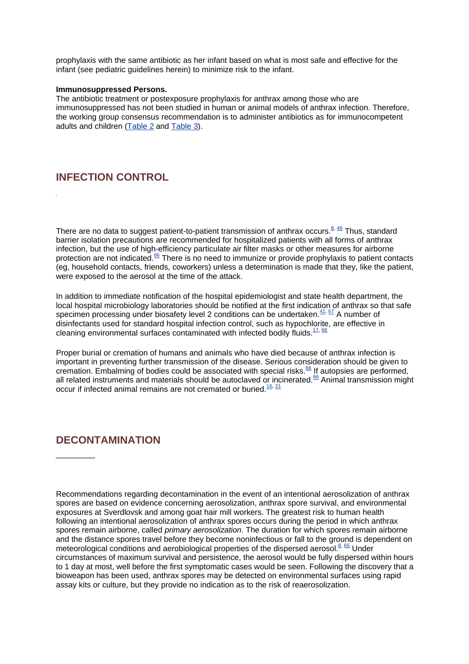prophylaxis with the same antibiotic as her infant based on what is most safe and effective for the infant (see pediatric guidelines herein) to minimize risk to the infant.

#### **Immunosuppressed Persons.**

The antibiotic treatment or postexposure prophylaxis for anthrax among those who are immunosuppressed has not been studied in human or animal models of anthrax infection. Therefore, the working group consensus recommendation is to administer antibiotics as for immunocompetent adults and children (Table 2 and Table 3).

# **INFECTION CONTROL**

There are no data to suggest patient-to-patient transmission of anthrax occurs.  $8,46$  Thus, standard barrier isolation precautions are recommended for hospitalized patients with all forms of anthrax infection, but the use of high-efficiency particulate air filter masks or other measures for airborne protection are not indicated.<sup>66</sup> There is no need to immunize or provide prophylaxis to patient contacts (eg, household contacts, friends, coworkers) unless a determination is made that they, like the patient, were exposed to the aerosol at the time of the attack.

In addition to immediate notification of the hospital epidemiologist and state health department, the local hospital microbiology laboratories should be notified at the first indication of anthrax so that safe specimen processing under biosafety level 2 conditions can be undertaken.<sup>41, 67</sup> A number of disinfectants used for standard hospital infection control, such as hypochlorite, are effective in cleaning environmental surfaces contaminated with infected bodily fluids.<sup>17, 66</sup>

Proper burial or cremation of humans and animals who have died because of anthrax infection is important in preventing further transmission of the disease. Serious consideration should be given to cremation. Embalming of bodies could be associated with special risks.<sup>66</sup> If autopsies are performed, all related instruments and materials should be autoclaved or incinerated.<sup>66</sup> Animal transmission might occur if infected animal remains are not cremated or buried.<sup>16, 21</sup>

# **DECONTAMINATION**

Recommendations regarding decontamination in the event of an intentional aerosolization of anthrax spores are based on evidence concerning aerosolization, anthrax spore survival, and environmental exposures at Sverdlovsk and among goat hair mill workers. The greatest risk to human health following an intentional aerosolization of anthrax spores occurs during the period in which anthrax spores remain airborne, called *primary aerosolization*. The duration for which spores remain airborne and the distance spores travel before they become noninfectious or fall to the ground is dependent on meteorological conditions and aerobiological properties of the dispersed aerosol.<sup>8, 65</sup> Under circumstances of maximum survival and persistence, the aerosol would be fully dispersed within hours to 1 day at most, well before the first symptomatic cases would be seen. Following the discovery that a bioweapon has been used, anthrax spores may be detected on environmental surfaces using rapid assay kits or culture, but they provide no indication as to the risk of reaerosolization.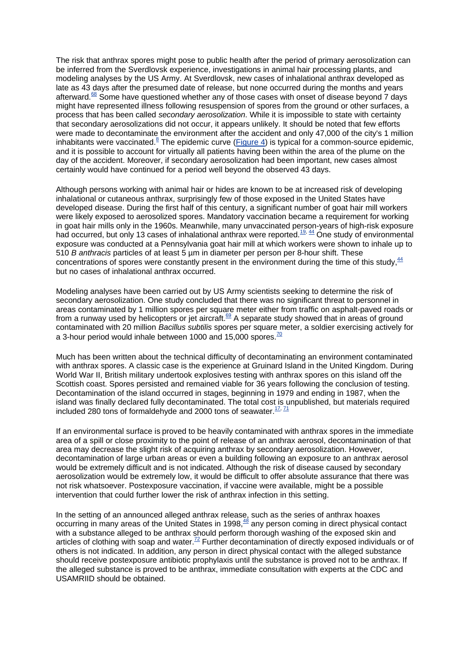The risk that anthrax spores might pose to public health after the period of primary aerosolization can be inferred from the Sverdlovsk experience, investigations in animal hair processing plants, and modeling analyses by the US Army. At Sverdlovsk, new cases of inhalational anthrax developed as late as 43 days after the presumed date of release, but none occurred during the months and years afterward.<sup>68</sup> Some have questioned whether any of those cases with onset of disease beyond 7 days might have represented illness following resuspension of spores from the ground or other surfaces, a process that has been called *secondary aerosolization*. While it is impossible to state with certainty that secondary aerosolizations did not occur, it appears unlikely. It should be noted that few efforts were made to decontaminate the environment after the accident and only 47,000 of the city's 1 million inhabitants were vaccinated.  $8$  The epidemic curve (Figure 4) is typical for a common-source epidemic, and it is possible to account for virtually all patients having been within the area of the plume on the day of the accident. Moreover, if secondary aerosolization had been important, new cases almost certainly would have continued for a period well beyond the observed 43 days.

Although persons working with animal hair or hides are known to be at increased risk of developing inhalational or cutaneous anthrax, surprisingly few of those exposed in the United States have developed disease. During the first half of this century, a significant number of goat hair mill workers were likely exposed to aerosolized spores. Mandatory vaccination became a requirement for working in goat hair mills only in the 1960s. Meanwhile, many unvaccinated person-years of high-risk exposure had occurred, but only 13 cases of inhalational anthrax were reported.<sup>19, 44</sup> One study of environmental exposure was conducted at a Pennsylvania goat hair mill at which workers were shown to inhale up to 510 *B anthracis* particles of at least 5 µm in diameter per person per 8-hour shift. These concentrations of spores were constantly present in the environment during the time of this study, $44$ but no cases of inhalational anthrax occurred.

Modeling analyses have been carried out by US Army scientists seeking to determine the risk of secondary aerosolization. One study concluded that there was no significant threat to personnel in areas contaminated by 1 million spores per square meter either from traffic on asphalt-paved roads or from a runway used by helicopters or jet aircraft. $\frac{69}{2}$  A separate study showed that in areas of ground contaminated with 20 million *Bacillus subtilis* spores per square meter, a soldier exercising actively for a 3-hour period would inhale between 1000 and 15,000 spores. $\frac{70}{6}$ 

Much has been written about the technical difficulty of decontaminating an environment contaminated with anthrax spores. A classic case is the experience at Gruinard Island in the United Kingdom. During World War II, British military undertook explosives testing with anthrax spores on this island off the Scottish coast. Spores persisted and remained viable for 36 years following the conclusion of testing. Decontamination of the island occurred in stages, beginning in 1979 and ending in 1987, when the island was finally declared fully decontaminated. The total cost is unpublished, but materials required included 280 tons of formaldehyde and 2000 tons of seawater. $\frac{17}{11}$ ,  $\frac{71}{11}$ 

If an environmental surface is proved to be heavily contaminated with anthrax spores in the immediate area of a spill or close proximity to the point of release of an anthrax aerosol, decontamination of that area may decrease the slight risk of acquiring anthrax by secondary aerosolization. However, decontamination of large urban areas or even a building following an exposure to an anthrax aerosol would be extremely difficult and is not indicated. Although the risk of disease caused by secondary aerosolization would be extremely low, it would be difficult to offer absolute assurance that there was not risk whatsoever. Postexposure vaccination, if vaccine were available, might be a possible intervention that could further lower the risk of anthrax infection in this setting.

In the setting of an announced alleged anthrax release, such as the series of anthrax hoaxes occurring in many areas of the United States in 1998, $\frac{48}{12}$  any person coming in direct physical contact with a substance alleged to be anthrax should perform thorough washing of the exposed skin and articles of clothing with soap and water.<sup>72</sup> Further decontamination of directly exposed individuals or of others is not indicated. In addition, any person in direct physical contact with the alleged substance should receive postexposure antibiotic prophylaxis until the substance is proved not to be anthrax. If the alleged substance is proved to be anthrax, immediate consultation with experts at the CDC and USAMRIID should be obtained.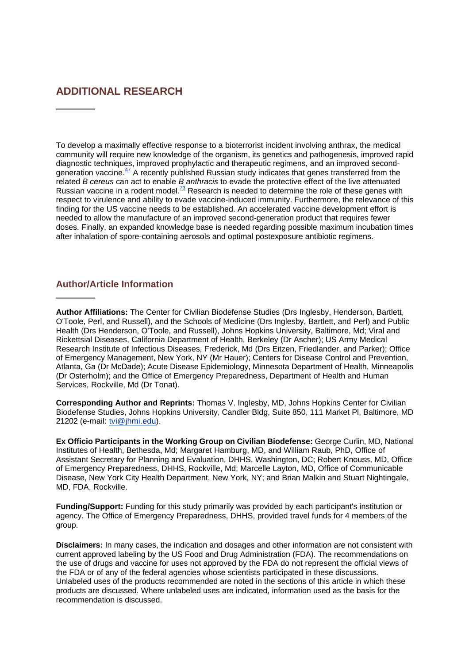# **ADDITIONAL RESEARCH**

To develop a maximally effective response to a bioterrorist incident involving anthrax, the medical community will require new knowledge of the organism, its genetics and pathogenesis, improved rapid diagnostic techniques, improved prophylactic and therapeutic regimens, and an improved secondgeneration vaccine. $47$  A recently published Russian study indicates that genes transferred from the related *B cereus* can act to enable *B anthracis* to evade the protective effect of the live attenuated Russian vaccine in a rodent model.<sup>73</sup> Research is needed to determine the role of these genes with respect to virulence and ability to evade vaccine-induced immunity. Furthermore, the relevance of this finding for the US vaccine needs to be established. An accelerated vaccine development effort is needed to allow the manufacture of an improved second-generation product that requires fewer doses. Finally, an expanded knowledge base is needed regarding possible maximum incubation times after inhalation of spore-containing aerosols and optimal postexposure antibiotic regimens.

# **Author/Article Information**

**Author Affiliations:** The Center for Civilian Biodefense Studies (Drs Inglesby, Henderson, Bartlett, O'Toole, Perl, and Russell), and the Schools of Medicine (Drs Inglesby, Bartlett, and Perl) and Public Health (Drs Henderson, O'Toole, and Russell), Johns Hopkins University, Baltimore, Md; Viral and Rickettsial Diseases, California Department of Health, Berkeley (Dr Ascher); US Army Medical Research Institute of Infectious Diseases, Frederick, Md (Drs Eitzen, Friedlander, and Parker); Office of Emergency Management, New York, NY (Mr Hauer); Centers for Disease Control and Prevention, Atlanta, Ga (Dr McDade); Acute Disease Epidemiology, Minnesota Department of Health, Minneapolis (Dr Osterholm); and the Office of Emergency Preparedness, Department of Health and Human Services, Rockville, Md (Dr Tonat).

**Corresponding Author and Reprints:** Thomas V. Inglesby, MD, Johns Hopkins Center for Civilian Biodefense Studies, Johns Hopkins University, Candler Bldg, Suite 850, 111 Market Pl, Baltimore, MD 21202 (e-mail: tvi@jhmi.edu).

**Ex Officio Participants in the Working Group on Civilian Biodefense:** George Curlin, MD, National Institutes of Health, Bethesda, Md; Margaret Hamburg, MD, and William Raub, PhD, Office of Assistant Secretary for Planning and Evaluation, DHHS, Washington, DC; Robert Knouss, MD, Office of Emergency Preparedness, DHHS, Rockville, Md; Marcelle Layton, MD, Office of Communicable Disease, New York City Health Department, New York, NY; and Brian Malkin and Stuart Nightingale, MD, FDA, Rockville.

**Funding/Support:** Funding for this study primarily was provided by each participant's institution or agency. The Office of Emergency Preparedness, DHHS, provided travel funds for 4 members of the group.

**Disclaimers:** In many cases, the indication and dosages and other information are not consistent with current approved labeling by the US Food and Drug Administration (FDA). The recommendations on the use of drugs and vaccine for uses not approved by the FDA do not represent the official views of the FDA or of any of the federal agencies whose scientists participated in these discussions. Unlabeled uses of the products recommended are noted in the sections of this article in which these products are discussed. Where unlabeled uses are indicated, information used as the basis for the recommendation is discussed.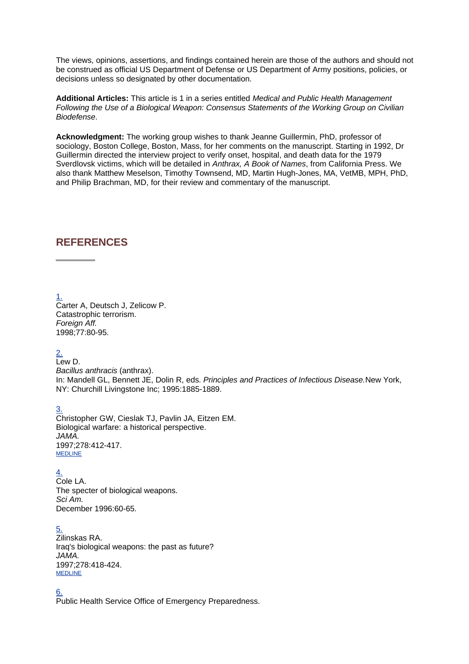The views, opinions, assertions, and findings contained herein are those of the authors and should not be construed as official US Department of Defense or US Department of Army positions, policies, or decisions unless so designated by other documentation.

**Additional Articles:** This article is 1 in a series entitled *Medical and Public Health Management Following the Use of a Biological Weapon: Consensus Statements of the Working Group on Civilian Biodefense*.

**Acknowledgment:** The working group wishes to thank Jeanne Guillermin, PhD, professor of sociology, Boston College, Boston, Mass, for her comments on the manuscript. Starting in 1992, Dr Guillermin directed the interview project to verify onset, hospital, and death data for the 1979 Sverdlovsk victims, which will be detailed in *Anthrax, A Book of Names*, from California Press. We also thank Matthew Meselson, Timothy Townsend, MD, Martin Hugh-Jones, MA, VetMB, MPH, PhD, and Philip Brachman, MD, for their review and commentary of the manuscript.

# **REFERENCES**

1. Carter A, Deutsch J, Zelicow P. Catastrophic terrorism. *Foreign Aff.* 1998;77:80-95.

2.

Lew D. *Bacillus anthracis* (anthrax). In: Mandell GL, Bennett JE, Dolin R, eds. *Principles and Practices of Infectious Disease.*New York, NY: Churchill Livingstone Inc; 1995:1885-1889.

3. Christopher GW, Cieslak TJ, Pavlin JA, Eitzen EM. Biological warfare: a historical perspective. *JAMA.* 1997;278:412-417. **MEDLINE** 

4. Cole LA. The specter of biological weapons. *Sci Am.* December 1996:60-65.

5. Zilinskas RA. Iraq's biological weapons: the past as future? *JAMA.* 1997;278:418-424. **MEDLINE** 

6. Public Health Service Office of Emergency Preparedness.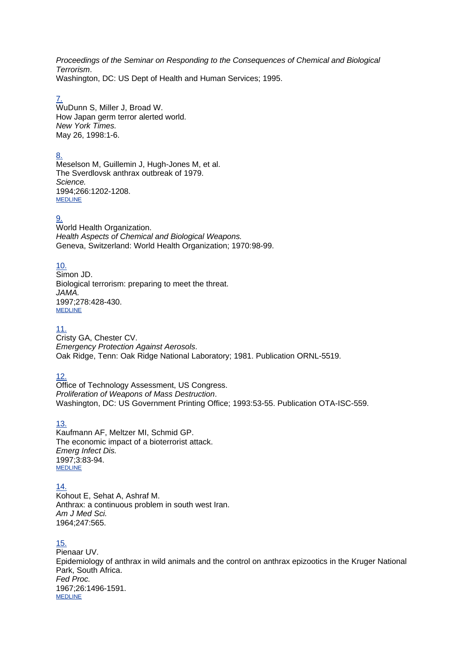*Proceedings of the Seminar on Responding to the Consequences of Chemical and Biological Terrorism*.

Washington, DC: US Dept of Health and Human Services; 1995.

# 7.

WuDunn S, Miller J, Broad W. How Japan germ terror alerted world. *New York Times.* May 26, 1998:1-6.

# 8.

Meselson M, Guillemin J, Hugh-Jones M, et al. The Sverdlovsk anthrax outbreak of 1979. *Science.* 1994;266:1202-1208. **MEDLINE** 

# 9.

World Health Organization. *Health Aspects of Chemical and Biological Weapons.* Geneva, Switzerland: World Health Organization; 1970:98-99.

# 10.

Simon JD. Biological terrorism: preparing to meet the threat. *JAMA.* 1997;278:428-430. **MEDLINE** 

# 11.

Cristy GA, Chester CV. *Emergency Protection Against Aerosols*. Oak Ridge, Tenn: Oak Ridge National Laboratory; 1981. Publication ORNL-5519.

# 12.

Office of Technology Assessment, US Congress. *Proliferation of Weapons of Mass Destruction*. Washington, DC: US Government Printing Office; 1993:53-55. Publication OTA-ISC-559.

# 13.

Kaufmann AF, Meltzer MI, Schmid GP. The economic impact of a bioterrorist attack. *Emerg Infect Dis.* 1997;3:83-94. **MEDLINE** 

# 14.

Kohout E, Sehat A, Ashraf M. Anthrax: a continuous problem in south west Iran. *Am J Med Sci.* 1964;247:565.

# 15.

Pienaar UV. Epidemiology of anthrax in wild animals and the control on anthrax epizootics in the Kruger National Park, South Africa. *Fed Proc.* 1967;26:1496-1591. **MEDLINE**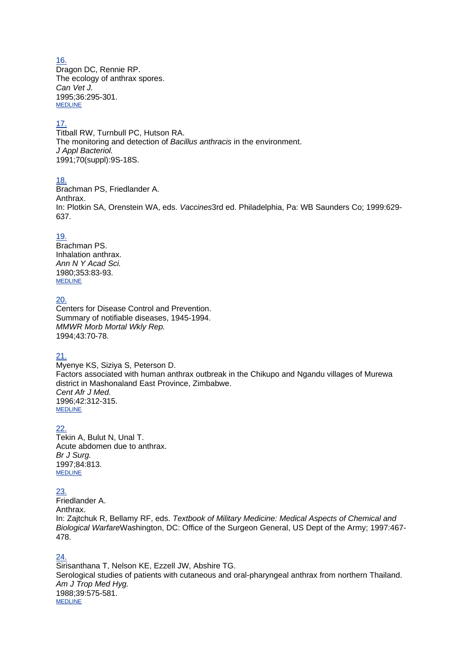Dragon DC, Rennie RP. The ecology of anthrax spores. *Can Vet J.* 1995;36:295-301. **MEDLINE** 

### 17.

Titball RW, Turnbull PC, Hutson RA. The monitoring and detection of *Bacillus anthracis* in the environment. *J Appl Bacteriol.* 1991;70(suppl):9S-18S.

# 18.

Brachman PS, Friedlander A. Anthrax. In: Plotkin SA, Orenstein WA, eds. *Vaccines*3rd ed. Philadelphia, Pa: WB Saunders Co; 1999:629- 637.

# 19.

Brachman PS. Inhalation anthrax. *Ann N Y Acad Sci.* 1980;353:83-93. MEDLINE

# 20.

Centers for Disease Control and Prevention. Summary of notifiable diseases, 1945-1994. *MMWR Morb Mortal Wkly Rep.* 1994;43:70-78.

# 21.

Myenye KS, Siziya S, Peterson D. Factors associated with human anthrax outbreak in the Chikupo and Ngandu villages of Murewa district in Mashonaland East Province, Zimbabwe. *Cent Afr J Med.* 1996;42:312-315. **MEDLINE** 

# 22.

Tekin A, Bulut N, Unal T. Acute abdomen due to anthrax. *Br J Surg.* 1997;84:813. **MEDLINE** 

# 23.

Friedlander A. Anthrax. In: Zajtchuk R, Bellamy RF, eds. *Textbook of Military Medicine: Medical Aspects of Chemical and Biological Warfare*Washington, DC: Office of the Surgeon General, US Dept of the Army; 1997:467- 478.

# 24.

Sirisanthana T, Nelson KE, Ezzell JW, Abshire TG. Serological studies of patients with cutaneous and oral-pharyngeal anthrax from northern Thailand. *Am J Trop Med Hyg.* 1988;39:575-581. **MEDLINE**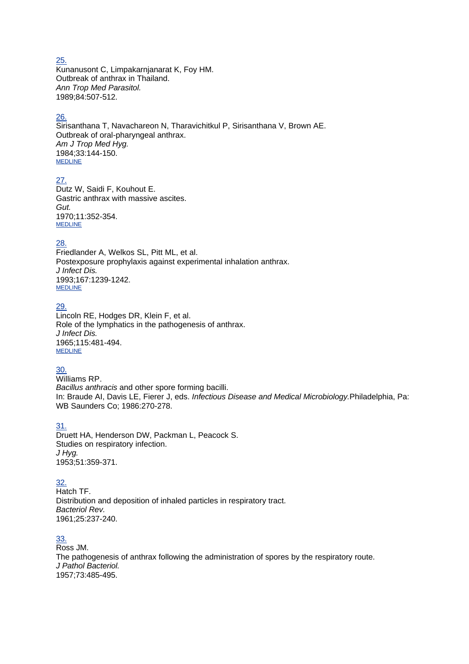Kunanusont C, Limpakarnjanarat K, Foy HM. Outbreak of anthrax in Thailand. *Ann Trop Med Parasitol.* 1989;84:507-512.

#### 26.

Sirisanthana T, Navachareon N, Tharavichitkul P, Sirisanthana V, Brown AE. Outbreak of oral-pharyngeal anthrax. *Am J Trop Med Hyg.* 1984;33:144-150. MEDLINE

# 27.

Dutz W, Saidi F, Kouhout E. Gastric anthrax with massive ascites. *Gut.* 1970;11:352-354. **MEDLINE** 

# 28.

Friedlander A, Welkos SL, Pitt ML, et al. Postexposure prophylaxis against experimental inhalation anthrax. *J Infect Dis.* 1993;167:1239-1242. **MEDLINE** 

# 29.

Lincoln RE, Hodges DR, Klein F, et al. Role of the lymphatics in the pathogenesis of anthrax. *J Infect Dis.* 1965;115:481-494. **MEDLINE** 

#### 30.

Williams RP. *Bacillus anthracis* and other spore forming bacilli. In: Braude AI, Davis LE, Fierer J, eds. *Infectious Disease and Medical Microbiology.*Philadelphia, Pa: WB Saunders Co; 1986:270-278.

# 31.

Druett HA, Henderson DW, Packman L, Peacock S. Studies on respiratory infection. *J Hyg.* 1953;51:359-371.

# 32.

Hatch TF. Distribution and deposition of inhaled particles in respiratory tract. *Bacteriol Rev.* 1961;25:237-240.

# 33.

Ross JM. The pathogenesis of anthrax following the administration of spores by the respiratory route. *J Pathol Bacteriol.* 1957;73:485-495.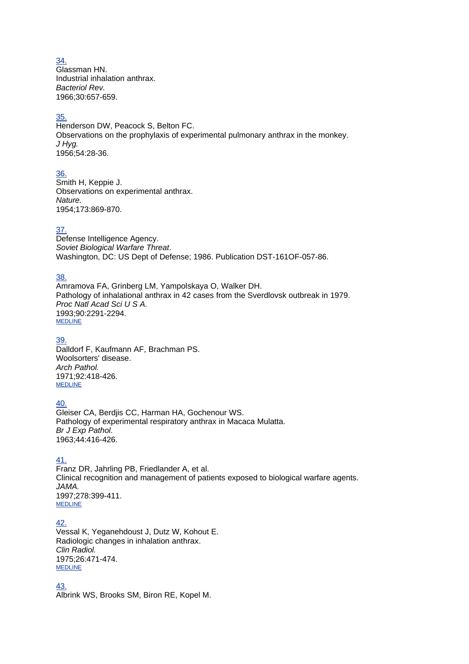Glassman HN. Industrial inhalation anthrax. *Bacteriol Rev.* 1966;30:657-659.

### 35.

Henderson DW, Peacock S, Belton FC. Observations on the prophylaxis of experimental pulmonary anthrax in the monkey. *J Hyg.* 1956;54:28-36.

# 36.

Smith H, Keppie J. Observations on experimental anthrax. *Nature.* 1954;173:869-870.

# 37.

Defense Intelligence Agency. *Soviet Biological Warfare Threat*. Washington, DC: US Dept of Defense; 1986. Publication DST-161OF-057-86.

# 38.

Amramova FA, Grinberg LM, Yampolskaya O, Walker DH. Pathology of inhalational anthrax in 42 cases from the Sverdlovsk outbreak in 1979. *Proc Natl Acad Sci U S A.* 1993;90:2291-2294. **MEDLINE** 

39. Dalldorf F, Kaufmann AF, Brachman PS. Woolsorters' disease. *Arch Pathol.* 1971;92:418-426. **MEDLINE** 

40. Gleiser CA, Berdjis CC, Harman HA, Gochenour WS. Pathology of experimental respiratory anthrax in Macaca Mulatta. *Br J Exp Pathol.* 1963;44:416-426.

# 41.

Franz DR, Jahrling PB, Friedlander A, et al. Clinical recognition and management of patients exposed to biological warfare agents. *JAMA.* 1997;278:399-411. **MEDLINE** 

# 42.

Vessal K, Yeganehdoust J, Dutz W, Kohout E. Radiologic changes in inhalation anthrax. *Clin Radiol.* 1975;26:471-474. **MEDLINE** 

# 43.

Albrink WS, Brooks SM, Biron RE, Kopel M.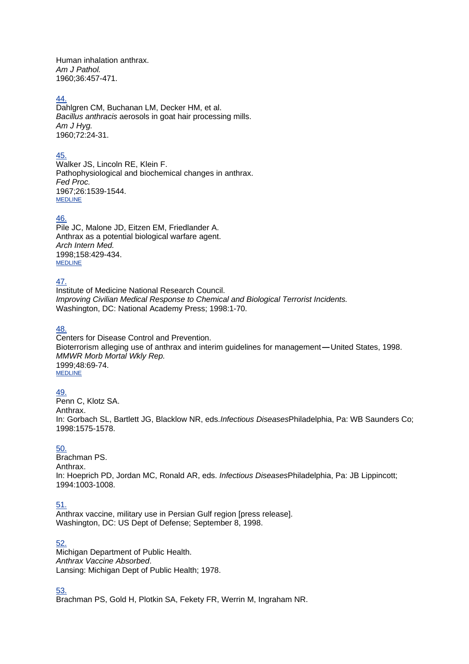Human inhalation anthrax. *Am J Pathol.* 1960;36:457-471.

#### 44.

Dahlgren CM, Buchanan LM, Decker HM, et al. *Bacillus anthracis* aerosols in goat hair processing mills. *Am J Hyg.* 1960;72:24-31.

# 45.

Walker JS, Lincoln RE, Klein F. Pathophysiological and biochemical changes in anthrax. *Fed Proc.* 1967;26:1539-1544. MEDLINE

### 46.

Pile JC, Malone JD, Eitzen EM, Friedlander A. Anthrax as a potential biological warfare agent. *Arch Intern Med.* 1998;158:429-434. **MEDLINE** 

# 47.

Institute of Medicine National Research Council. *Improving Civilian Medical Response to Chemical and Biological Terrorist Incidents.* Washington, DC: National Academy Press; 1998:1-70.

#### 48.

Centers for Disease Control and Prevention. Bioterrorism alleging use of anthrax and interim guidelines for management—United States, 1998. *MMWR Morb Mortal Wkly Rep.* 1999;48:69-74. **MEDLINE** 

# 49.

Penn C, Klotz SA. Anthrax. In: Gorbach SL, Bartlett JG, Blacklow NR, eds.*Infectious Diseases*Philadelphia, Pa: WB Saunders Co; 1998:1575-1578.

# 50.

Brachman PS. Anthrax. In: Hoeprich PD, Jordan MC, Ronald AR, eds. *Infectious Diseases*Philadelphia, Pa: JB Lippincott; 1994:1003-1008.

# 51.

Anthrax vaccine, military use in Persian Gulf region [press release]. Washington, DC: US Dept of Defense; September 8, 1998.

# 52.

Michigan Department of Public Health. *Anthrax Vaccine Absorbed*. Lansing: Michigan Dept of Public Health; 1978.

53. Brachman PS, Gold H, Plotkin SA, Fekety FR, Werrin M, Ingraham NR.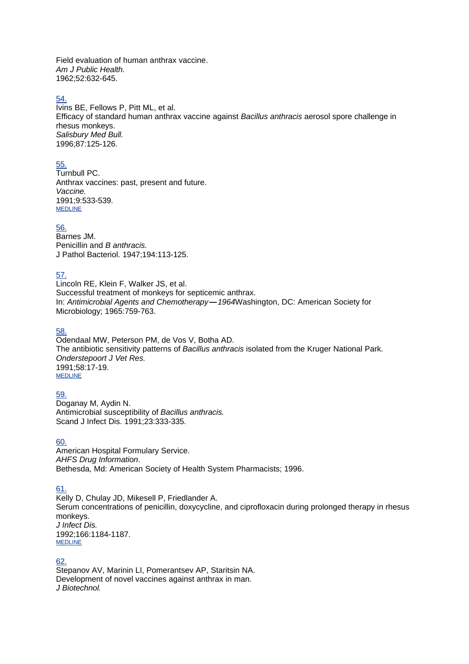Field evaluation of human anthrax vaccine. *Am J Public Health.* 1962;52:632-645.

### 54.

Ivins BE, Fellows P, Pitt ML, et al. Efficacy of standard human anthrax vaccine against *Bacillus anthracis* aerosol spore challenge in rhesus monkeys. *Salisbury Med Bull.* 1996;87:125-126.

#### 55.

Turnbull PC. Anthrax vaccines: past, present and future. *Vaccine.* 1991;9:533-539. **MEDLINE** 

### 56.

Barnes JM. Penicillin and *B anthracis.* J Pathol Bacteriol. 1947;194:113-125.

# 57.

Lincoln RE, Klein F, Walker JS, et al. Successful treatment of monkeys for septicemic anthrax. In: Antimicrobial Agents and Chemotherapy-1964Washington, DC: American Society for Microbiology; 1965:759-763.

#### 58.

Odendaal MW, Peterson PM, de Vos V, Botha AD. The antibiotic sensitivity patterns of *Bacillus anthracis* isolated from the Kruger National Park. *Onderstepoort J Vet Res.* 1991;58:17-19. MEDLINE

#### 59.

Doganay M, Aydin N. Antimicrobial susceptibility of *Bacillus anthracis.* Scand J Infect Dis. 1991;23:333-335.

#### 60.

American Hospital Formulary Service. *AHFS Drug Information*. Bethesda, Md: American Society of Health System Pharmacists; 1996.

# 61.

Kelly D, Chulay JD, Mikesell P, Friedlander A. Serum concentrations of penicillin, doxycycline, and ciprofloxacin during prolonged therapy in rhesus monkeys. *J Infect Dis.* 1992;166:1184-1187. **MEDLINE** 

62. Stepanov AV, Marinin LI, Pomerantsev AP, Staritsin NA. Development of novel vaccines against anthrax in man. *J Biotechnol.*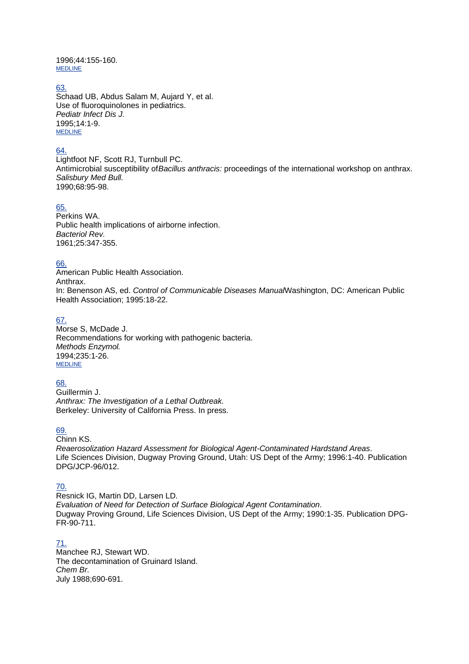1996;44:155-160. MEDLINE

63. Schaad UB, Abdus Salam M, Aujard Y, et al. Use of fluoroquinolones in pediatrics. *Pediatr Infect Dis J.* 1995;14:1-9. **MEDLINE** 

#### 64.

Lightfoot NF, Scott RJ, Turnbull PC. Antimicrobial susceptibility of*Bacillus anthracis:* proceedings of the international workshop on anthrax. *Salisbury Med Bull.* 1990;68:95-98.

### 65.

Perkins WA. Public health implications of airborne infection. *Bacteriol Rev.* 1961;25:347-355.

# 66.

American Public Health Association. Anthrax. In: Benenson AS, ed. *Control of Communicable Diseases Manual*Washington, DC: American Public Health Association; 1995:18-22.

# 67.

Morse S, McDade J. Recommendations for working with pathogenic bacteria. *Methods Enzymol.* 1994;235:1-26. **MEDLINE** 

# 68.

Guillermin J. *Anthrax: The Investigation of a Lethal Outbreak.* Berkeley: University of California Press. In press.

# 69.

Chinn KS. *Reaerosolization Hazard Assessment for Biological Agent-Contaminated Hardstand Areas*. Life Sciences Division, Dugway Proving Ground, Utah: US Dept of the Army; 1996:1-40. Publication DPG/JCP-96/012.

# 70.

Resnick IG, Martin DD, Larsen LD. *Evaluation of Need for Detection of Surface Biological Agent Contamination*. Dugway Proving Ground, Life Sciences Division, US Dept of the Army; 1990:1-35. Publication DPG-FR-90-711.

# 71.

Manchee RJ, Stewart WD. The decontamination of Gruinard Island. *Chem Br.* July 1988;690-691.